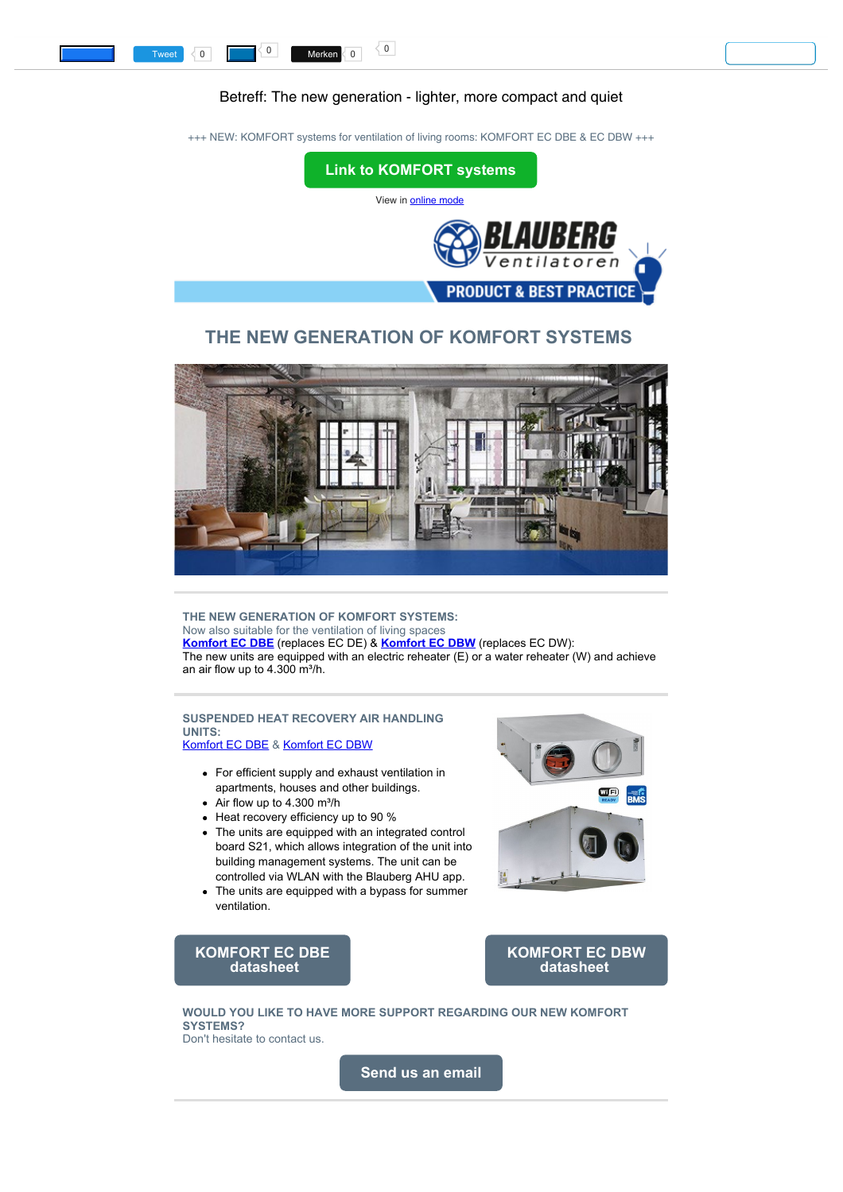## Betreff: The new generation - lighter, more compact and quiet

<span id="page-0-0"></span>+++ NEW: KOMFORT systems for ventilation of living rooms: KOMFORT EC DBE & EC DBW +++



# **THE NEW GENERATION OF KOMFORT SYSTEMS**



**THE NEW GENERATION OF KOMFORT SYSTEMS:** Now also suitable for the ventilation of living spaces **[Komfort EC DBE](https://multimedia.getresponse.com/getresponse-hxR52/documents/4e80c7e2-975b-4866-a9df-952bd51409a4.pdf?utm_source=getresponse&utm_medium=email&utm_campaign=intern_marketing&utm_content=The%20new%20generation%20-%20lighter%2C%20more%20compact%20and%20quiet)** (replaces EC DE) & **[Komfort EC DBW](https://multimedia.getresponse.com/getresponse-hxR52/documents/59018c69-0232-4bdf-8e0c-1752c28b9c86.pdf?utm_source=getresponse&utm_medium=email&utm_campaign=intern_marketing&utm_content=The%20new%20generation%20-%20lighter%2C%20more%20compact%20and%20quiet)** (replaces EC DW): The new units are equipped with an electric reheater  $(E)$  or a water reheater (W) and achieve an air flow up to  $4.300$  m $h$ .

### **SUSPENDED HEAT RECOVERY AIR HANDLING UNITS:**

[Komfort EC DBE](https://multimedia.getresponse.com/getresponse-hxR52/documents/4e80c7e2-975b-4866-a9df-952bd51409a4.pdf?utm_source=getresponse&utm_medium=email&utm_campaign=intern_marketing&utm_content=The%20new%20generation%20-%20lighter%2C%20more%20compact%20and%20quiet) & [Komfort EC DBW](https://multimedia.getresponse.com/getresponse-hxR52/documents/59018c69-0232-4bdf-8e0c-1752c28b9c86.pdf?utm_source=getresponse&utm_medium=email&utm_campaign=intern_marketing&utm_content=The%20new%20generation%20-%20lighter%2C%20more%20compact%20and%20quiet)

- For efficient supply and exhaust ventilation in apartments, houses and other buildings.
- $\bullet$  Air flow up to 4.300 m<sup>3</sup>/h
- Heat recovery efficiency up to 90 %
- The units are equipped with an integrated control board S21, which allows integration of the unit into building management systems. The unit can be controlled via WLAN with the Blauberg AHU app.
- The units are equipped with a bypass for summer ventilation.



### **[KOMFORT EC DBE](https://multimedia.getresponse.com/getresponse-hxR52/documents/4e80c7e2-975b-4866-a9df-952bd51409a4.pdf?utm_source=getresponse&utm_medium=email&utm_campaign=intern_marketing&utm_content=The%20new%20generation%20-%20lighter%2C%20more%20compact%20and%20quiet) [datasheet](https://multimedia.getresponse.com/getresponse-hxR52/documents/4e80c7e2-975b-4866-a9df-952bd51409a4.pdf?utm_source=getresponse&utm_medium=email&utm_campaign=intern_marketing&utm_content=The%20new%20generation%20-%20lighter%2C%20more%20compact%20and%20quiet)**

**[KOMFORT EC DBW](https://multimedia.getresponse.com/getresponse-hxR52/documents/59018c69-0232-4bdf-8e0c-1752c28b9c86.pdf?utm_source=getresponse&utm_medium=email&utm_campaign=intern_marketing&utm_content=The%20new%20generation%20-%20lighter%2C%20more%20compact%20and%20quiet) [datasheet](https://multimedia.getresponse.com/getresponse-hxR52/documents/59018c69-0232-4bdf-8e0c-1752c28b9c86.pdf?utm_source=getresponse&utm_medium=email&utm_campaign=intern_marketing&utm_content=The%20new%20generation%20-%20lighter%2C%20more%20compact%20and%20quiet)**

**WOULD YOU LIKE TO HAVE MORE SUPPORT REGARDING OUR NEW KOMFORT SYSTEMS?** Don't hesitate to contact us.

**[Send us an email](mailto:sales@blaubergventilatoren.de)**